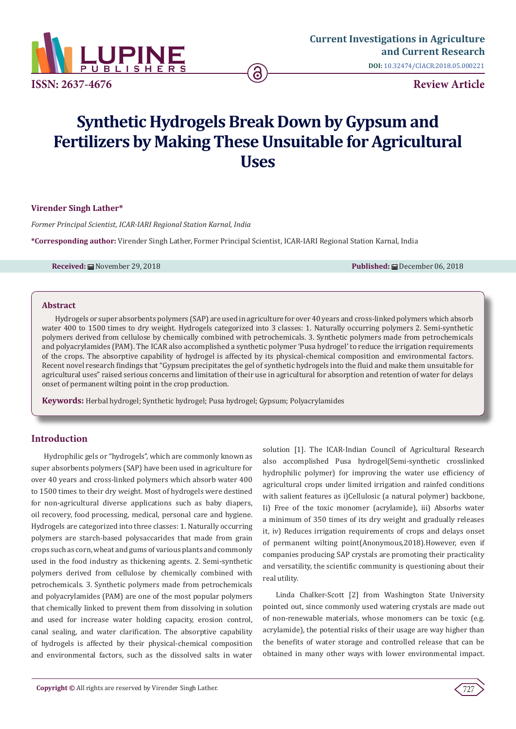

# **Synthetic Hydrogels Break Down by Gypsum and Fertilizers by Making These Unsuitable for Agricultural Uses**

# **Virender Singh Lather\***

*Former Principal Scientist, ICAR-IARI Regional Station Karnal, India*

**\*Corresponding author:** Virender Singh Lather, Former Principal Scientist, ICAR-IARI Regional Station Karnal, India

**Received:** ■November 29, 2018 **Published:** ■Published: ■December 06, 2018

# **Abstract**

Hydrogels or super absorbents polymers (SAP) are used in agriculture for over 40 years and cross-linked polymers which absorb water 400 to 1500 times to dry weight. Hydrogels categorized into 3 classes: 1. Naturally occurring polymers 2. Semi-synthetic polymers derived from cellulose by chemically combined with petrochemicals. 3. Synthetic polymers made from petrochemicals and polyacrylamides (PAM). The ICAR also accomplished a synthetic polymer 'Pusa hydrogel' to reduce the irrigation requirements of the crops. The absorptive capability of hydrogel is affected by its physical-chemical composition and environmental factors. Recent novel research findings that "Gypsum precipitates the gel of synthetic hydrogels into the fluid and make them unsuitable for agricultural uses" raised serious concerns and limitation of their use in agricultural for absorption and retention of water for delays onset of permanent wilting point in the crop production.

**Keywords:** Herbal hydrogel; Synthetic hydrogel; Pusa hydrogel; Gypsum; Polyacrylamides

# **Introduction**

Hydrophilic gels or "hydrogels", which are commonly known as super absorbents polymers (SAP) have been used in agriculture for over 40 years and cross-linked polymers which absorb water 400 to 1500 times to their dry weight. Most of hydrogels were destined for non-agricultural diverse applications such as baby diapers, oil recovery, food processing, medical, personal care and hygiene. Hydrogels are categorized into three classes: 1. Naturally occurring polymers are starch-based polysaccarides that made from grain crops such as corn, wheat and gums of various plants and commonly used in the food industry as thickening agents. 2. Semi-synthetic polymers derived from cellulose by chemically combined with petrochemicals. 3. Synthetic polymers made from petrochemicals and polyacrylamides (PAM) are one of the most popular polymers that chemically linked to prevent them from dissolving in solution and used for increase water holding capacity, erosion control, canal sealing, and water clarification. The absorptive capability of hydrogels is affected by their physical-chemical composition and environmental factors, such as the dissolved salts in water solution [1]. The ICAR-Indian Council of Agricultural Research also accomplished Pusa hydrogel(Semi-synthetic crosslinked hydrophilic polymer) for improving the water use efficiency of agricultural crops under limited irrigation and rainfed conditions with salient features as i)Cellulosic (a natural polymer) backbone, Ii) Free of the toxic monomer (acrylamide), iii) Absorbs water a minimum of 350 times of its dry weight and gradually releases it, iv) Reduces irrigation requirements of crops and delays onset of permanent wilting point(Anonymous,2018).However, even if companies producing SAP crystals are promoting their practicality and versatility, the scientific community is questioning about their real utility.

Linda Chalker-Scott [2] from Washington State University pointed out, since commonly used watering crystals are made out of non-renewable materials, whose monomers can be toxic (e.g. acrylamide), the potential risks of their usage are way higher than the benefits of water storage and controlled release that can be obtained in many other ways with lower environmental impact.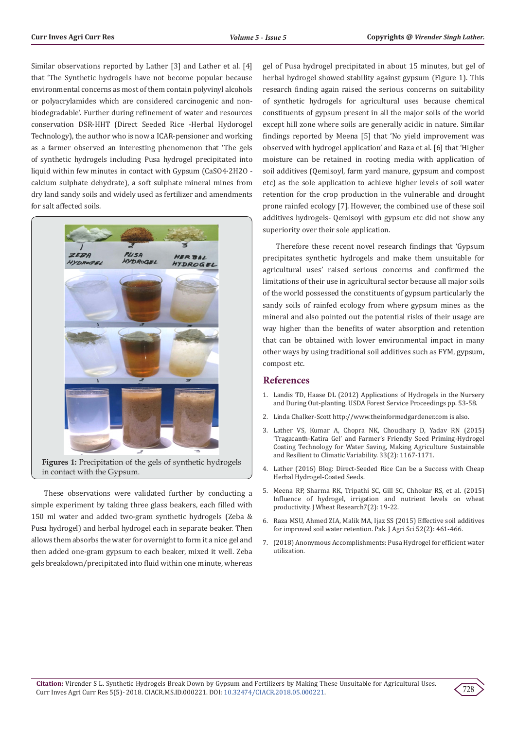Similar observations reported by Lather [3] and Lather et al. [4] that 'The Synthetic hydrogels have not become popular because environmental concerns as most of them contain polyvinyl alcohols or polyacrylamides which are considered carcinogenic and nonbiodegradable'. Further during refinement of water and resources conservation DSR-HHT (Direct Seeded Rice -Herbal Hydorogel Technology), the author who is now a ICAR-pensioner and working as a farmer observed an interesting phenomenon that 'The gels of synthetic hydrogels including Pusa hydrogel precipitated into liquid within few minutes in contact with Gypsum (CaSO4·2H2O calcium sulphate dehydrate), a soft sulphate mineral mines from dry land sandy soils and widely used as fertilizer and amendments for salt affected soils.



in contact with the Gypsum.

These observations were validated further by conducting a simple experiment by taking three glass beakers, each filled with 150 ml water and added two-gram synthetic hydrogels (Zeba & Pusa hydrogel) and herbal hydrogel each in separate beaker. Then allows them absorbs the water for overnight to form it a nice gel and then added one-gram gypsum to each beaker, mixed it well. Zeba gels breakdown/precipitated into fluid within one minute, whereas gel of Pusa hydrogel precipitated in about 15 minutes, but gel of herbal hydrogel showed stability against gypsum (Figure 1). This research finding again raised the serious concerns on suitability of synthetic hydrogels for agricultural uses because chemical constituents of gypsum present in all the major soils of the world except hill zone where soils are generally acidic in nature. Similar findings reported by Meena [5] that 'No yield improvement was observed with hydrogel application' and Raza et al. [6] that 'Higher moisture can be retained in rooting media with application of soil additives (Qemisoyl, farm yard manure, gypsum and compost etc) as the sole application to achieve higher levels of soil water retention for the crop production in the vulnerable and drought prone rainfed ecology [7]. However, the combined use of these soil additives hydrogels- Qemisoyl with gypsum etc did not show any superiority over their sole application.

Therefore these recent novel research findings that 'Gypsum precipitates synthetic hydrogels and make them unsuitable for agricultural uses' raised serious concerns and confirmed the limitations of their use in agricultural sector because all major soils of the world possessed the constituents of gypsum particularly the sandy soils of rainfed ecology from where gypsum mines as the mineral and also pointed out the potential risks of their usage are way higher than the benefits of water absorption and retention that can be obtained with lower environmental impact in many other ways by using traditional soil additives such as FYM, gypsum, compost etc.

#### **References**

- 1. [Landis TD, Haase DL \(2012\) Applications of Hydrogels in the Nursery](https://www.fs.usda.gov/treesearch/pubs/42736) [and During Out-planting. USDA Forest Service Proceedings pp. 53-58.](https://www.fs.usda.gov/treesearch/pubs/42736)
- 2. Linda Chalker-Scott http://www.theinformedgardener.com is also.
- 3. Lather VS, Kumar A, Chopra NK, Choudhary D, Yadav RN (2015) 'Tragacanth-Katira Gel' and Farmer's Friendly Seed Priming-Hydrogel Coating Technology for Water Saving, Making Agriculture Sustainable and Resilient to Climatic Variability. 33(2): 1167-1171.
- 4. Lather (2016) Blog: Direct-Seeded Rice Can be a Success with Cheap Herbal Hydrogel-Coated Seeds.
- 5. Meena RP, Sharma RK, Tripathi SC, Gill SC, Chhokar RS, et al. (2015) Influence of hydrogel, irrigation and nutrient levels on wheat productivity. J Wheat Research7(2): 19-22.
- 6. Raza MSU, Ahmed ZIA, Malik MA, Ijaz SS (2015) Effective soil additives for improved soil water retention. Pak. J Agri Sci 52(2): 461-466.
- 7. (2018) Anonymous Accomplishments: Pusa Hydrogel for efficient water utilization.